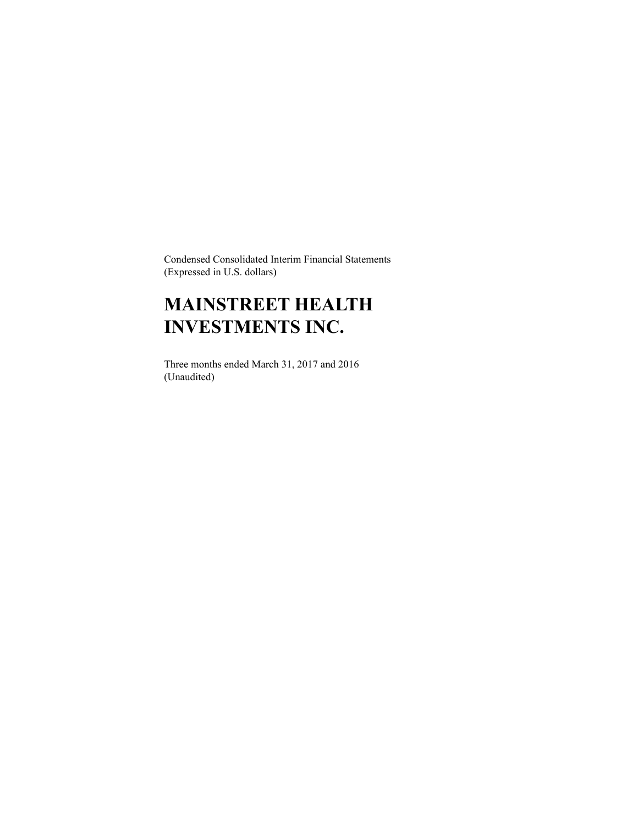Condensed Consolidated Interim Financial Statements (Expressed in U.S. dollars)

# **MAINSTREET HEALTH INVESTMENTS INC.**

Three months ended March 31, 2017 and 2016 (Unaudited)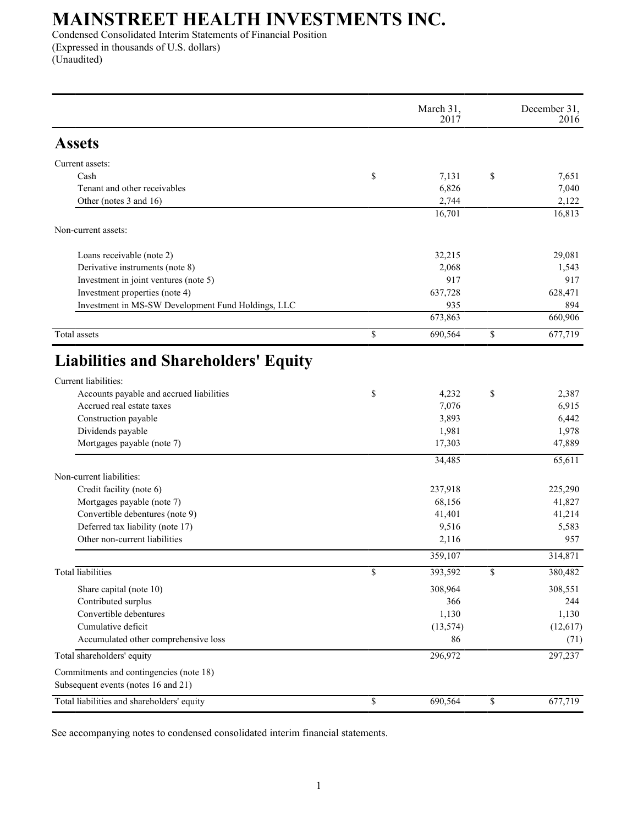Condensed Consolidated Interim Statements of Financial Position (Expressed in thousands of U.S. dollars) (Unaudited)

|                                                                     | March 31,<br>2017 |                         | December 31,<br>2016 |
|---------------------------------------------------------------------|-------------------|-------------------------|----------------------|
| <b>Assets</b>                                                       |                   |                         |                      |
| Current assets:                                                     |                   |                         |                      |
| Cash                                                                | \$<br>7,131       | \$                      | 7,651                |
| Tenant and other receivables                                        | 6,826             |                         | 7,040                |
| Other (notes 3 and 16)                                              | 2,744             |                         | 2,122                |
|                                                                     | 16,701            |                         | 16,813               |
| Non-current assets:                                                 |                   |                         |                      |
| Loans receivable (note 2)                                           | 32,215            |                         | 29,081               |
| Derivative instruments (note 8)                                     | 2,068             |                         | 1,543                |
| Investment in joint ventures (note 5)                               | 917               |                         | 917                  |
| Investment properties (note 4)                                      | 637,728           |                         | 628,471              |
| Investment in MS-SW Development Fund Holdings, LLC                  | 935               |                         | 894                  |
|                                                                     | 673,863           |                         | 660,906              |
| Total assets                                                        | \$<br>690,564     | \$                      | 677,719              |
| <b>Liabilities and Shareholders' Equity</b><br>Current liabilities: |                   |                         |                      |
| Accounts payable and accrued liabilities                            | \$<br>4,232       | \$                      | 2,387                |
| Accrued real estate taxes                                           | 7,076             |                         | 6,915                |
| Construction payable                                                | 3,893             |                         | 6,442                |
| Dividends payable                                                   | 1,981             |                         | 1,978                |
| Mortgages payable (note 7)                                          | 17,303            |                         | 47,889               |
|                                                                     | 34,485            |                         | 65,611               |
| Non-current liabilities:                                            |                   |                         |                      |
| Credit facility (note 6)                                            | 237,918           |                         | 225,290              |
| Mortgages payable (note 7)                                          | 68,156            |                         | 41,827               |
| Convertible debentures (note 9)                                     | 41,401            |                         | 41,214               |
| Deferred tax liability (note 17)                                    | 9,516             |                         | 5,583                |
| Other non-current liabilities                                       | 2,116             |                         | 957                  |
|                                                                     | 359,107           |                         | 314,871              |
| <b>Total</b> liabilities                                            | \$<br>393,592     | $\overline{\mathbb{S}}$ | 380,482              |
| Share capital (note 10)                                             | 308,964           |                         | 308,551              |
| Contributed surplus                                                 | 366               |                         | 244                  |
| Convertible debentures                                              | 1,130             |                         | 1,130                |
| Cumulative deficit                                                  | (13, 574)         |                         | (12, 617)            |
| Accumulated other comprehensive loss                                | 86                |                         | (71)                 |
| Total shareholders' equity                                          | 296,972           |                         | 297,237              |
| Commitments and contingencies (note 18)                             |                   |                         |                      |
| Subsequent events (notes 16 and 21)                                 |                   |                         |                      |
| Total liabilities and shareholders' equity                          | \$<br>690,564     | \$                      | 677,719              |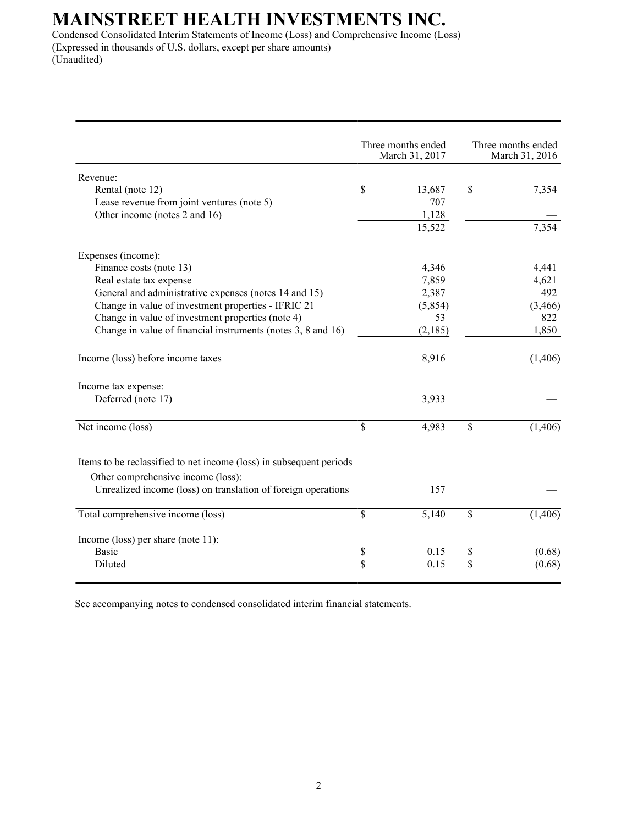Condensed Consolidated Interim Statements of Income (Loss) and Comprehensive Income (Loss) (Expressed in thousands of U.S. dollars, except per share amounts) (Unaudited)

|                                                                                                                                                                            |                 | Three months ended<br>March 31, 2017 |                 | Three months ended<br>March 31, 2016 |
|----------------------------------------------------------------------------------------------------------------------------------------------------------------------------|-----------------|--------------------------------------|-----------------|--------------------------------------|
| Revenue:                                                                                                                                                                   |                 |                                      |                 |                                      |
| Rental (note 12)                                                                                                                                                           | \$              | 13,687                               | \$              | 7,354                                |
| Lease revenue from joint ventures (note 5)                                                                                                                                 |                 | 707                                  |                 |                                      |
| Other income (notes 2 and 16)                                                                                                                                              |                 | 1,128                                |                 |                                      |
|                                                                                                                                                                            |                 | 15,522                               |                 | $7,\overline{354}$                   |
| Expenses (income):                                                                                                                                                         |                 |                                      |                 |                                      |
| Finance costs (note 13)                                                                                                                                                    |                 | 4,346                                |                 | 4,441                                |
| Real estate tax expense                                                                                                                                                    |                 | 7,859                                |                 | 4,621                                |
| General and administrative expenses (notes 14 and 15)                                                                                                                      |                 | 2,387                                |                 | 492                                  |
| Change in value of investment properties - IFRIC 21                                                                                                                        |                 | (5,854)                              |                 | (3, 466)                             |
| Change in value of investment properties (note 4)                                                                                                                          |                 | 53                                   |                 | 822                                  |
| Change in value of financial instruments (notes 3, 8 and 16)                                                                                                               |                 | (2,185)                              |                 | 1,850                                |
| Income (loss) before income taxes                                                                                                                                          |                 | 8,916                                |                 | (1,406)                              |
| Income tax expense:                                                                                                                                                        |                 |                                      |                 |                                      |
| Deferred (note 17)                                                                                                                                                         |                 | 3,933                                |                 |                                      |
| Net income (loss)                                                                                                                                                          | \$              | 4,983                                | \$              | (1,406)                              |
| Items to be reclassified to net income (loss) in subsequent periods<br>Other comprehensive income (loss):<br>Unrealized income (loss) on translation of foreign operations |                 | 157                                  |                 |                                      |
| Total comprehensive income (loss)                                                                                                                                          | $\overline{\$}$ | 5,140                                | $\overline{\$}$ | (1,406)                              |
| Income (loss) per share (note $11$ ):                                                                                                                                      |                 |                                      |                 |                                      |
| <b>Basic</b>                                                                                                                                                               | \$              | 0.15                                 | \$              | (0.68)                               |
| Diluted                                                                                                                                                                    | \$              | 0.15                                 | \$              | (0.68)                               |
|                                                                                                                                                                            |                 |                                      |                 |                                      |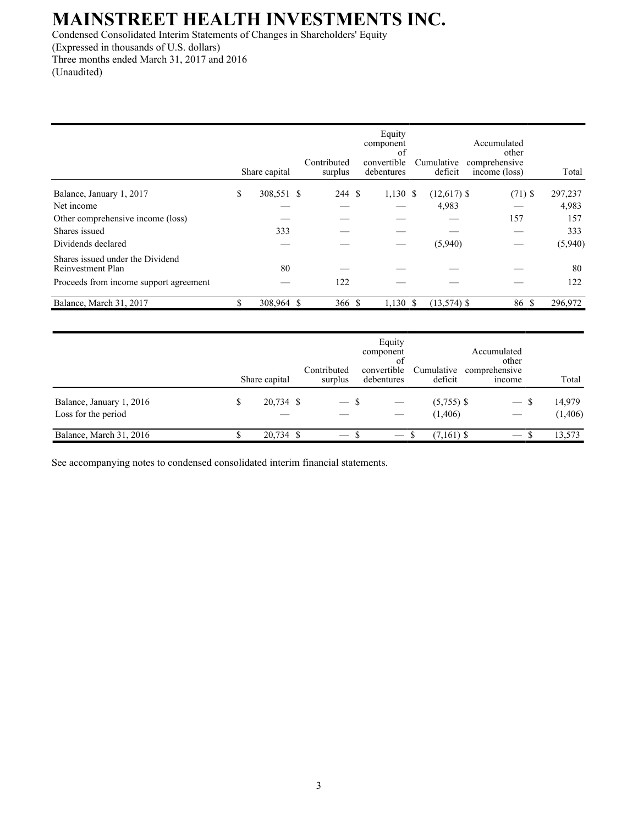Condensed Consolidated Interim Statements of Changes in Shareholders' Equity (Expressed in thousands of U.S. dollars) Three months ended March 31, 2017 and 2016 (Unaudited)

|                                                       | Share capital    | Contributed<br>surplus | Equity<br>component<br>of<br>convertible<br>debentures | Cumulative<br>deficit | Accumulated<br>other<br>comprehensive<br>income (loss) | Total   |
|-------------------------------------------------------|------------------|------------------------|--------------------------------------------------------|-----------------------|--------------------------------------------------------|---------|
| Balance, January 1, 2017                              | \$<br>308,551 \$ | 244 \$                 | $1,130$ \$                                             | $(12,617)$ \$         | $(71)$ \$                                              | 297,237 |
| Net income                                            |                  |                        |                                                        | 4,983                 |                                                        | 4,983   |
| Other comprehensive income (loss)                     |                  |                        |                                                        |                       | 157                                                    | 157     |
| Shares issued                                         | 333              |                        |                                                        |                       |                                                        | 333     |
| Dividends declared                                    |                  |                        |                                                        | (5,940)               |                                                        | (5,940) |
| Shares issued under the Dividend<br>Reinvestment Plan | 80               |                        |                                                        |                       |                                                        | 80      |
| Proceeds from income support agreement                |                  | 122                    |                                                        |                       |                                                        | 122     |
| Balance, March 31, 2017                               | \$<br>308,964 \$ | 366 \$                 | $1,130$ \$                                             | $(13,574)$ \$         | 86 S                                                   | 296,972 |

|                                                 | Share capital   | Contributed<br>surplus | component<br>convertible<br>debentures | Equity<br>οt | Cumulative<br>deficit   | Accumulated<br>other<br>comprehensive<br>income | Total              |
|-------------------------------------------------|-----------------|------------------------|----------------------------------------|--------------|-------------------------|-------------------------------------------------|--------------------|
| Balance, January 1, 2016<br>Loss for the period | \$<br>20,734 \$ | $ \mathcal{S}$         |                                        |              | $(5,755)$ \$<br>(1,406) | $\overline{\phantom{0}}$                        | 14,979<br>(1, 406) |
| Balance, March 31, 2016                         | 20,734 \$       | $-$ s                  |                                        |              | $(7,161)$ \$            | $ \mathbf{x}$                                   | 13,573             |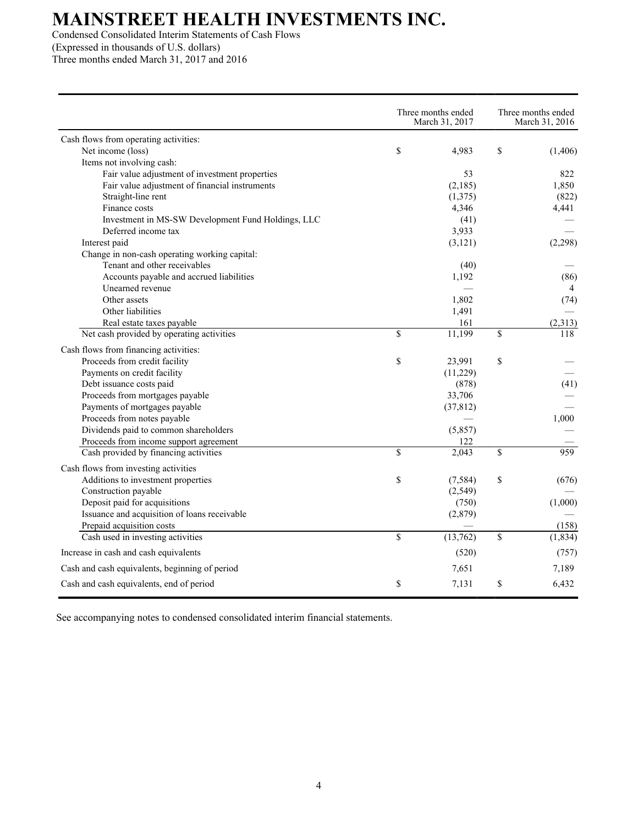Condensed Consolidated Interim Statements of Cash Flows (Expressed in thousands of U.S. dollars)

Three months ended March 31, 2017 and 2016

| Cash flows from operating activities:<br>\$<br>\$<br>Net income (loss)<br>4,983<br>(1,406)<br>Items not involving cash:<br>Fair value adjustment of investment properties<br>53<br>822<br>Fair value adjustment of financial instruments<br>(2,185)<br>1,850<br>Straight-line rent<br>(1,375)<br>(822)<br>Finance costs<br>4,346<br>4,441<br>Investment in MS-SW Development Fund Holdings, LLC<br>(41)<br>Deferred income tax<br>3,933<br>Interest paid<br>(3, 121)<br>(2,298)<br>Change in non-cash operating working capital:<br>Tenant and other receivables<br>(40)<br>Accounts payable and accrued liabilities<br>1,192<br>(86)<br>Unearned revenue<br>$\overline{4}$<br>Other assets<br>1,802<br>(74)<br>Other liabilities<br>1,491<br>Real estate taxes payable<br>161<br>(2,313)<br>\$<br>$\mathbf S$<br>Net cash provided by operating activities<br>11,199<br>118<br>Cash flows from financing activities:<br>\$<br>Proceeds from credit facility<br>23,991<br>\$<br>Payments on credit facility<br>(11,229)<br>Debt issuance costs paid<br>(878)<br>(41)<br>Proceeds from mortgages payable<br>33,706<br>Payments of mortgages payable<br>(37, 812)<br>Proceeds from notes payable<br>1,000<br>Dividends paid to common shareholders<br>(5, 857)<br>Proceeds from income support agreement<br>122<br>$\overline{\mathsf{s}}$<br>2,043<br>\$<br>959<br>Cash provided by financing activities<br>Cash flows from investing activities<br>Additions to investment properties<br>\$<br>\$<br>(7, 584)<br>(676)<br>Construction payable<br>(2, 549)<br>Deposit paid for acquisitions<br>(1,000)<br>(750)<br>Issuance and acquisition of loans receivable<br>(2,879)<br>Prepaid acquisition costs<br>(158)<br>\$<br>\$<br>Cash used in investing activities<br>(13,762)<br>(1, 834)<br>Increase in cash and cash equivalents<br>(520)<br>(757)<br>Cash and cash equivalents, beginning of period<br>7,651<br>7,189<br>\$<br>Cash and cash equivalents, end of period<br>7,131<br>\$<br>6,432 |  | Three months ended<br>March 31, 2017 | Three months ended<br>March 31, 2016 |  |  |
|----------------------------------------------------------------------------------------------------------------------------------------------------------------------------------------------------------------------------------------------------------------------------------------------------------------------------------------------------------------------------------------------------------------------------------------------------------------------------------------------------------------------------------------------------------------------------------------------------------------------------------------------------------------------------------------------------------------------------------------------------------------------------------------------------------------------------------------------------------------------------------------------------------------------------------------------------------------------------------------------------------------------------------------------------------------------------------------------------------------------------------------------------------------------------------------------------------------------------------------------------------------------------------------------------------------------------------------------------------------------------------------------------------------------------------------------------------------------------------------------------------------------------------------------------------------------------------------------------------------------------------------------------------------------------------------------------------------------------------------------------------------------------------------------------------------------------------------------------------------------------------------------------------------------------------------------------------------------------------------------------|--|--------------------------------------|--------------------------------------|--|--|
|                                                                                                                                                                                                                                                                                                                                                                                                                                                                                                                                                                                                                                                                                                                                                                                                                                                                                                                                                                                                                                                                                                                                                                                                                                                                                                                                                                                                                                                                                                                                                                                                                                                                                                                                                                                                                                                                                                                                                                                                    |  |                                      |                                      |  |  |
|                                                                                                                                                                                                                                                                                                                                                                                                                                                                                                                                                                                                                                                                                                                                                                                                                                                                                                                                                                                                                                                                                                                                                                                                                                                                                                                                                                                                                                                                                                                                                                                                                                                                                                                                                                                                                                                                                                                                                                                                    |  |                                      |                                      |  |  |
|                                                                                                                                                                                                                                                                                                                                                                                                                                                                                                                                                                                                                                                                                                                                                                                                                                                                                                                                                                                                                                                                                                                                                                                                                                                                                                                                                                                                                                                                                                                                                                                                                                                                                                                                                                                                                                                                                                                                                                                                    |  |                                      |                                      |  |  |
|                                                                                                                                                                                                                                                                                                                                                                                                                                                                                                                                                                                                                                                                                                                                                                                                                                                                                                                                                                                                                                                                                                                                                                                                                                                                                                                                                                                                                                                                                                                                                                                                                                                                                                                                                                                                                                                                                                                                                                                                    |  |                                      |                                      |  |  |
|                                                                                                                                                                                                                                                                                                                                                                                                                                                                                                                                                                                                                                                                                                                                                                                                                                                                                                                                                                                                                                                                                                                                                                                                                                                                                                                                                                                                                                                                                                                                                                                                                                                                                                                                                                                                                                                                                                                                                                                                    |  |                                      |                                      |  |  |
|                                                                                                                                                                                                                                                                                                                                                                                                                                                                                                                                                                                                                                                                                                                                                                                                                                                                                                                                                                                                                                                                                                                                                                                                                                                                                                                                                                                                                                                                                                                                                                                                                                                                                                                                                                                                                                                                                                                                                                                                    |  |                                      |                                      |  |  |
|                                                                                                                                                                                                                                                                                                                                                                                                                                                                                                                                                                                                                                                                                                                                                                                                                                                                                                                                                                                                                                                                                                                                                                                                                                                                                                                                                                                                                                                                                                                                                                                                                                                                                                                                                                                                                                                                                                                                                                                                    |  |                                      |                                      |  |  |
|                                                                                                                                                                                                                                                                                                                                                                                                                                                                                                                                                                                                                                                                                                                                                                                                                                                                                                                                                                                                                                                                                                                                                                                                                                                                                                                                                                                                                                                                                                                                                                                                                                                                                                                                                                                                                                                                                                                                                                                                    |  |                                      |                                      |  |  |
|                                                                                                                                                                                                                                                                                                                                                                                                                                                                                                                                                                                                                                                                                                                                                                                                                                                                                                                                                                                                                                                                                                                                                                                                                                                                                                                                                                                                                                                                                                                                                                                                                                                                                                                                                                                                                                                                                                                                                                                                    |  |                                      |                                      |  |  |
|                                                                                                                                                                                                                                                                                                                                                                                                                                                                                                                                                                                                                                                                                                                                                                                                                                                                                                                                                                                                                                                                                                                                                                                                                                                                                                                                                                                                                                                                                                                                                                                                                                                                                                                                                                                                                                                                                                                                                                                                    |  |                                      |                                      |  |  |
|                                                                                                                                                                                                                                                                                                                                                                                                                                                                                                                                                                                                                                                                                                                                                                                                                                                                                                                                                                                                                                                                                                                                                                                                                                                                                                                                                                                                                                                                                                                                                                                                                                                                                                                                                                                                                                                                                                                                                                                                    |  |                                      |                                      |  |  |
|                                                                                                                                                                                                                                                                                                                                                                                                                                                                                                                                                                                                                                                                                                                                                                                                                                                                                                                                                                                                                                                                                                                                                                                                                                                                                                                                                                                                                                                                                                                                                                                                                                                                                                                                                                                                                                                                                                                                                                                                    |  |                                      |                                      |  |  |
|                                                                                                                                                                                                                                                                                                                                                                                                                                                                                                                                                                                                                                                                                                                                                                                                                                                                                                                                                                                                                                                                                                                                                                                                                                                                                                                                                                                                                                                                                                                                                                                                                                                                                                                                                                                                                                                                                                                                                                                                    |  |                                      |                                      |  |  |
|                                                                                                                                                                                                                                                                                                                                                                                                                                                                                                                                                                                                                                                                                                                                                                                                                                                                                                                                                                                                                                                                                                                                                                                                                                                                                                                                                                                                                                                                                                                                                                                                                                                                                                                                                                                                                                                                                                                                                                                                    |  |                                      |                                      |  |  |
|                                                                                                                                                                                                                                                                                                                                                                                                                                                                                                                                                                                                                                                                                                                                                                                                                                                                                                                                                                                                                                                                                                                                                                                                                                                                                                                                                                                                                                                                                                                                                                                                                                                                                                                                                                                                                                                                                                                                                                                                    |  |                                      |                                      |  |  |
|                                                                                                                                                                                                                                                                                                                                                                                                                                                                                                                                                                                                                                                                                                                                                                                                                                                                                                                                                                                                                                                                                                                                                                                                                                                                                                                                                                                                                                                                                                                                                                                                                                                                                                                                                                                                                                                                                                                                                                                                    |  |                                      |                                      |  |  |
|                                                                                                                                                                                                                                                                                                                                                                                                                                                                                                                                                                                                                                                                                                                                                                                                                                                                                                                                                                                                                                                                                                                                                                                                                                                                                                                                                                                                                                                                                                                                                                                                                                                                                                                                                                                                                                                                                                                                                                                                    |  |                                      |                                      |  |  |
|                                                                                                                                                                                                                                                                                                                                                                                                                                                                                                                                                                                                                                                                                                                                                                                                                                                                                                                                                                                                                                                                                                                                                                                                                                                                                                                                                                                                                                                                                                                                                                                                                                                                                                                                                                                                                                                                                                                                                                                                    |  |                                      |                                      |  |  |
|                                                                                                                                                                                                                                                                                                                                                                                                                                                                                                                                                                                                                                                                                                                                                                                                                                                                                                                                                                                                                                                                                                                                                                                                                                                                                                                                                                                                                                                                                                                                                                                                                                                                                                                                                                                                                                                                                                                                                                                                    |  |                                      |                                      |  |  |
|                                                                                                                                                                                                                                                                                                                                                                                                                                                                                                                                                                                                                                                                                                                                                                                                                                                                                                                                                                                                                                                                                                                                                                                                                                                                                                                                                                                                                                                                                                                                                                                                                                                                                                                                                                                                                                                                                                                                                                                                    |  |                                      |                                      |  |  |
|                                                                                                                                                                                                                                                                                                                                                                                                                                                                                                                                                                                                                                                                                                                                                                                                                                                                                                                                                                                                                                                                                                                                                                                                                                                                                                                                                                                                                                                                                                                                                                                                                                                                                                                                                                                                                                                                                                                                                                                                    |  |                                      |                                      |  |  |
|                                                                                                                                                                                                                                                                                                                                                                                                                                                                                                                                                                                                                                                                                                                                                                                                                                                                                                                                                                                                                                                                                                                                                                                                                                                                                                                                                                                                                                                                                                                                                                                                                                                                                                                                                                                                                                                                                                                                                                                                    |  |                                      |                                      |  |  |
|                                                                                                                                                                                                                                                                                                                                                                                                                                                                                                                                                                                                                                                                                                                                                                                                                                                                                                                                                                                                                                                                                                                                                                                                                                                                                                                                                                                                                                                                                                                                                                                                                                                                                                                                                                                                                                                                                                                                                                                                    |  |                                      |                                      |  |  |
|                                                                                                                                                                                                                                                                                                                                                                                                                                                                                                                                                                                                                                                                                                                                                                                                                                                                                                                                                                                                                                                                                                                                                                                                                                                                                                                                                                                                                                                                                                                                                                                                                                                                                                                                                                                                                                                                                                                                                                                                    |  |                                      |                                      |  |  |
|                                                                                                                                                                                                                                                                                                                                                                                                                                                                                                                                                                                                                                                                                                                                                                                                                                                                                                                                                                                                                                                                                                                                                                                                                                                                                                                                                                                                                                                                                                                                                                                                                                                                                                                                                                                                                                                                                                                                                                                                    |  |                                      |                                      |  |  |
|                                                                                                                                                                                                                                                                                                                                                                                                                                                                                                                                                                                                                                                                                                                                                                                                                                                                                                                                                                                                                                                                                                                                                                                                                                                                                                                                                                                                                                                                                                                                                                                                                                                                                                                                                                                                                                                                                                                                                                                                    |  |                                      |                                      |  |  |
|                                                                                                                                                                                                                                                                                                                                                                                                                                                                                                                                                                                                                                                                                                                                                                                                                                                                                                                                                                                                                                                                                                                                                                                                                                                                                                                                                                                                                                                                                                                                                                                                                                                                                                                                                                                                                                                                                                                                                                                                    |  |                                      |                                      |  |  |
|                                                                                                                                                                                                                                                                                                                                                                                                                                                                                                                                                                                                                                                                                                                                                                                                                                                                                                                                                                                                                                                                                                                                                                                                                                                                                                                                                                                                                                                                                                                                                                                                                                                                                                                                                                                                                                                                                                                                                                                                    |  |                                      |                                      |  |  |
|                                                                                                                                                                                                                                                                                                                                                                                                                                                                                                                                                                                                                                                                                                                                                                                                                                                                                                                                                                                                                                                                                                                                                                                                                                                                                                                                                                                                                                                                                                                                                                                                                                                                                                                                                                                                                                                                                                                                                                                                    |  |                                      |                                      |  |  |
|                                                                                                                                                                                                                                                                                                                                                                                                                                                                                                                                                                                                                                                                                                                                                                                                                                                                                                                                                                                                                                                                                                                                                                                                                                                                                                                                                                                                                                                                                                                                                                                                                                                                                                                                                                                                                                                                                                                                                                                                    |  |                                      |                                      |  |  |
|                                                                                                                                                                                                                                                                                                                                                                                                                                                                                                                                                                                                                                                                                                                                                                                                                                                                                                                                                                                                                                                                                                                                                                                                                                                                                                                                                                                                                                                                                                                                                                                                                                                                                                                                                                                                                                                                                                                                                                                                    |  |                                      |                                      |  |  |
|                                                                                                                                                                                                                                                                                                                                                                                                                                                                                                                                                                                                                                                                                                                                                                                                                                                                                                                                                                                                                                                                                                                                                                                                                                                                                                                                                                                                                                                                                                                                                                                                                                                                                                                                                                                                                                                                                                                                                                                                    |  |                                      |                                      |  |  |
|                                                                                                                                                                                                                                                                                                                                                                                                                                                                                                                                                                                                                                                                                                                                                                                                                                                                                                                                                                                                                                                                                                                                                                                                                                                                                                                                                                                                                                                                                                                                                                                                                                                                                                                                                                                                                                                                                                                                                                                                    |  |                                      |                                      |  |  |
|                                                                                                                                                                                                                                                                                                                                                                                                                                                                                                                                                                                                                                                                                                                                                                                                                                                                                                                                                                                                                                                                                                                                                                                                                                                                                                                                                                                                                                                                                                                                                                                                                                                                                                                                                                                                                                                                                                                                                                                                    |  |                                      |                                      |  |  |
|                                                                                                                                                                                                                                                                                                                                                                                                                                                                                                                                                                                                                                                                                                                                                                                                                                                                                                                                                                                                                                                                                                                                                                                                                                                                                                                                                                                                                                                                                                                                                                                                                                                                                                                                                                                                                                                                                                                                                                                                    |  |                                      |                                      |  |  |
|                                                                                                                                                                                                                                                                                                                                                                                                                                                                                                                                                                                                                                                                                                                                                                                                                                                                                                                                                                                                                                                                                                                                                                                                                                                                                                                                                                                                                                                                                                                                                                                                                                                                                                                                                                                                                                                                                                                                                                                                    |  |                                      |                                      |  |  |
|                                                                                                                                                                                                                                                                                                                                                                                                                                                                                                                                                                                                                                                                                                                                                                                                                                                                                                                                                                                                                                                                                                                                                                                                                                                                                                                                                                                                                                                                                                                                                                                                                                                                                                                                                                                                                                                                                                                                                                                                    |  |                                      |                                      |  |  |
|                                                                                                                                                                                                                                                                                                                                                                                                                                                                                                                                                                                                                                                                                                                                                                                                                                                                                                                                                                                                                                                                                                                                                                                                                                                                                                                                                                                                                                                                                                                                                                                                                                                                                                                                                                                                                                                                                                                                                                                                    |  |                                      |                                      |  |  |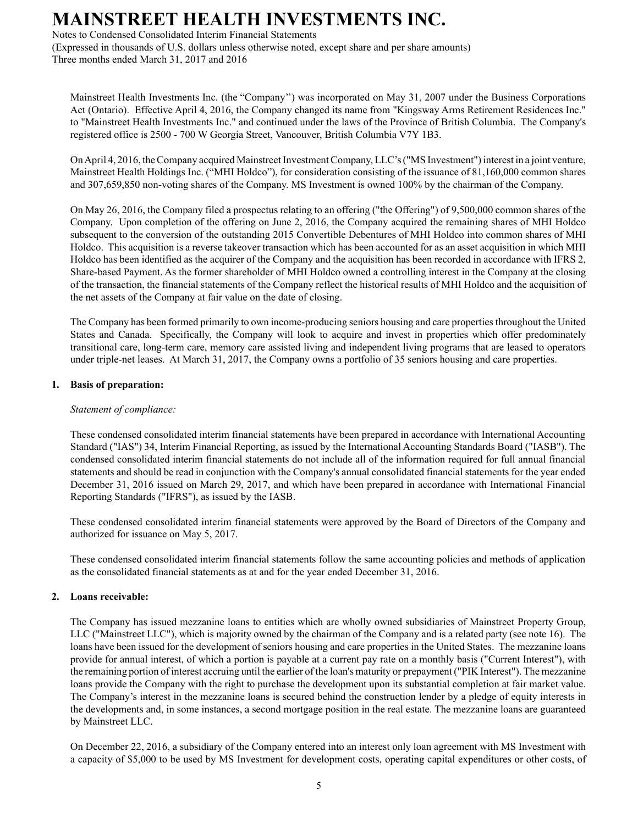Notes to Condensed Consolidated Interim Financial Statements

(Expressed in thousands of U.S. dollars unless otherwise noted, except share and per share amounts) Three months ended March 31, 2017 and 2016

Mainstreet Health Investments Inc. (the "Company'') was incorporated on May 31, 2007 under the Business Corporations Act (Ontario). Effective April 4, 2016, the Company changed its name from "Kingsway Arms Retirement Residences Inc." to "Mainstreet Health Investments Inc." and continued under the laws of the Province of British Columbia. The Company's registered office is 2500 - 700 W Georgia Street, Vancouver, British Columbia V7Y 1B3.

On April 4, 2016, the Company acquired Mainstreet Investment Company, LLC's ("MS Investment") interest in a joint venture, Mainstreet Health Holdings Inc. ("MHI Holdco"), for consideration consisting of the issuance of 81,160,000 common shares and 307,659,850 non-voting shares of the Company. MS Investment is owned 100% by the chairman of the Company.

On May 26, 2016, the Company filed a prospectus relating to an offering ("the Offering") of 9,500,000 common shares of the Company. Upon completion of the offering on June 2, 2016, the Company acquired the remaining shares of MHI Holdco subsequent to the conversion of the outstanding 2015 Convertible Debentures of MHI Holdco into common shares of MHI Holdco. This acquisition is a reverse takeover transaction which has been accounted for as an asset acquisition in which MHI Holdco has been identified as the acquirer of the Company and the acquisition has been recorded in accordance with IFRS 2, Share-based Payment. As the former shareholder of MHI Holdco owned a controlling interest in the Company at the closing of the transaction, the financial statements of the Company reflect the historical results of MHI Holdco and the acquisition of the net assets of the Company at fair value on the date of closing.

The Company has been formed primarily to own income-producing seniors housing and care properties throughout the United States and Canada. Specifically, the Company will look to acquire and invest in properties which offer predominately transitional care, long-term care, memory care assisted living and independent living programs that are leased to operators under triple-net leases. At March 31, 2017, the Company owns a portfolio of 35 seniors housing and care properties.

#### **1. Basis of preparation:**

#### *Statement of compliance:*

These condensed consolidated interim financial statements have been prepared in accordance with International Accounting Standard ("IAS") 34, Interim Financial Reporting, as issued by the International Accounting Standards Board ("IASB"). The condensed consolidated interim financial statements do not include all of the information required for full annual financial statements and should be read in conjunction with the Company's annual consolidated financial statements for the year ended December 31, 2016 issued on March 29, 2017, and which have been prepared in accordance with International Financial Reporting Standards ("IFRS"), as issued by the IASB.

These condensed consolidated interim financial statements were approved by the Board of Directors of the Company and authorized for issuance on May 5, 2017.

These condensed consolidated interim financial statements follow the same accounting policies and methods of application as the consolidated financial statements as at and for the year ended December 31, 2016.

#### **2. Loans receivable:**

The Company has issued mezzanine loans to entities which are wholly owned subsidiaries of Mainstreet Property Group, LLC ("Mainstreet LLC"), which is majority owned by the chairman of the Company and is a related party (see note 16). The loans have been issued for the development of seniors housing and care properties in the United States. The mezzanine loans provide for annual interest, of which a portion is payable at a current pay rate on a monthly basis ("Current Interest"), with the remaining portion of interest accruing until the earlier of the loan's maturity or prepayment ("PIK Interest"). The mezzanine loans provide the Company with the right to purchase the development upon its substantial completion at fair market value. The Company's interest in the mezzanine loans is secured behind the construction lender by a pledge of equity interests in the developments and, in some instances, a second mortgage position in the real estate. The mezzanine loans are guaranteed by Mainstreet LLC.

On December 22, 2016, a subsidiary of the Company entered into an interest only loan agreement with MS Investment with a capacity of \$5,000 to be used by MS Investment for development costs, operating capital expenditures or other costs, of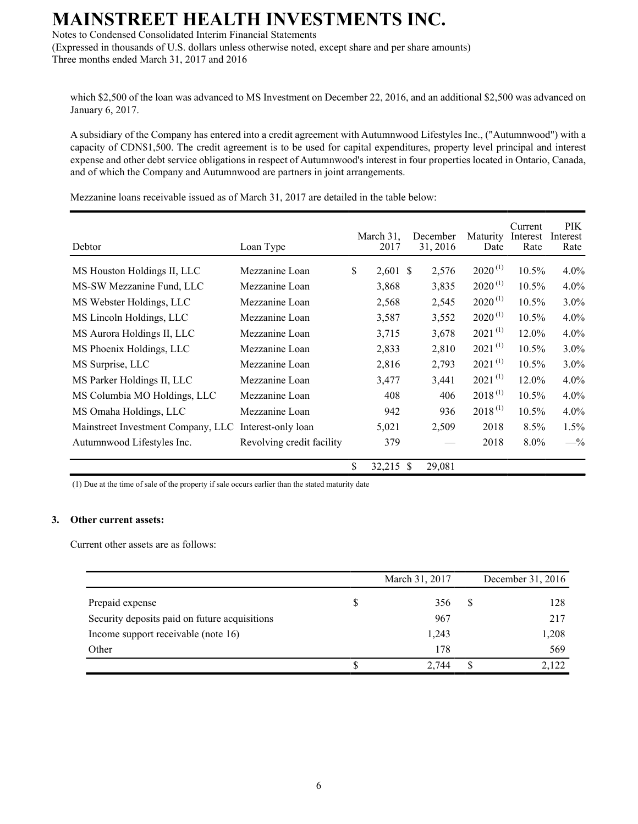Notes to Condensed Consolidated Interim Financial Statements

(Expressed in thousands of U.S. dollars unless otherwise noted, except share and per share amounts) Three months ended March 31, 2017 and 2016

which \$2,500 of the loan was advanced to MS Investment on December 22, 2016, and an additional \$2,500 was advanced on January 6, 2017.

A subsidiary of the Company has entered into a credit agreement with Autumnwood Lifestyles Inc., ("Autumnwood") with a capacity of CDN\$1,500. The credit agreement is to be used for capital expenditures, property level principal and interest expense and other debt service obligations in respect of Autumnwood's interest in four properties located in Ontario, Canada, and of which the Company and Autumnwood are partners in joint arrangements.

| Debtor                             | Loan Type                 | March 31.<br>2017 |    | December<br>31, 2016 | <b>Maturity</b><br>Date | Current<br>Interest<br>Rate | PIK.<br>Interest<br>Rate |
|------------------------------------|---------------------------|-------------------|----|----------------------|-------------------------|-----------------------------|--------------------------|
| MS Houston Holdings II, LLC        | Mezzanine Loan            | \$<br>$2,601$ \$  |    | 2,576                | $2020^{(1)}$            | $10.5\%$                    | $4.0\%$                  |
| MS-SW Mezzanine Fund, LLC          | Mezzanine Loan            | 3,868             |    | 3,835                | $2020^{(1)}$            | $10.5\%$                    | $4.0\%$                  |
| MS Webster Holdings, LLC           | Mezzanine Loan            | 2,568             |    | 2,545                | $2020^{(1)}$            | $10.5\%$                    | 3.0%                     |
| MS Lincoln Holdings, LLC           | Mezzanine Loan            | 3,587             |    | 3,552                | $2020^{(1)}$            | $10.5\%$                    | $4.0\%$                  |
| MS Aurora Holdings II, LLC         | Mezzanine Loan            | 3,715             |    | 3,678                | $2021^{(1)}$            | 12.0%                       | 4.0%                     |
| MS Phoenix Holdings, LLC           | Mezzanine Loan            | 2,833             |    | 2,810                | $2021^{(1)}$            | $10.5\%$                    | $3.0\%$                  |
| MS Surprise, LLC                   | Mezzanine Loan            | 2,816             |    | 2,793                | $2021^{(1)}$            | 10.5%                       | $3.0\%$                  |
| MS Parker Holdings II, LLC         | Mezzanine Loan            | 3,477             |    | 3,441                | $2021^{(1)}$            | 12.0%                       | $4.0\%$                  |
| MS Columbia MO Holdings, LLC       | Mezzanine Loan            | 408               |    | 406                  | $2018^{(1)}$            | 10.5%                       | 4.0%                     |
| MS Omaha Holdings, LLC             | Mezzanine Loan            | 942               |    | 936                  | $2018^{(1)}$            | $10.5\%$                    | $4.0\%$                  |
| Mainstreet Investment Company, LLC | Interest-only loan        | 5,021             |    | 2,509                | 2018                    | 8.5%                        | 1.5%                     |
| Autumnwood Lifestyles Inc.         | Revolving credit facility | 379               |    |                      | 2018                    | $8.0\%$                     | $-$ %                    |
|                                    |                           | \$<br>32,215      | -S | 29,081               |                         |                             |                          |

Mezzanine loans receivable issued as of March 31, 2017 are detailed in the table below:

(1) Due at the time of sale of the property if sale occurs earlier than the stated maturity date

#### **3. Other current assets:**

Current other assets are as follows:

|                                               | March 31, 2017 |   | December 31, 2016 |
|-----------------------------------------------|----------------|---|-------------------|
| Prepaid expense                               | 356            | S | 128               |
| Security deposits paid on future acquisitions | 967            |   | 217               |
| Income support receivable (note 16)           | 1,243          |   | 1,208             |
| Other                                         | 178            |   | 569               |
|                                               | 2,744          |   | 2,122             |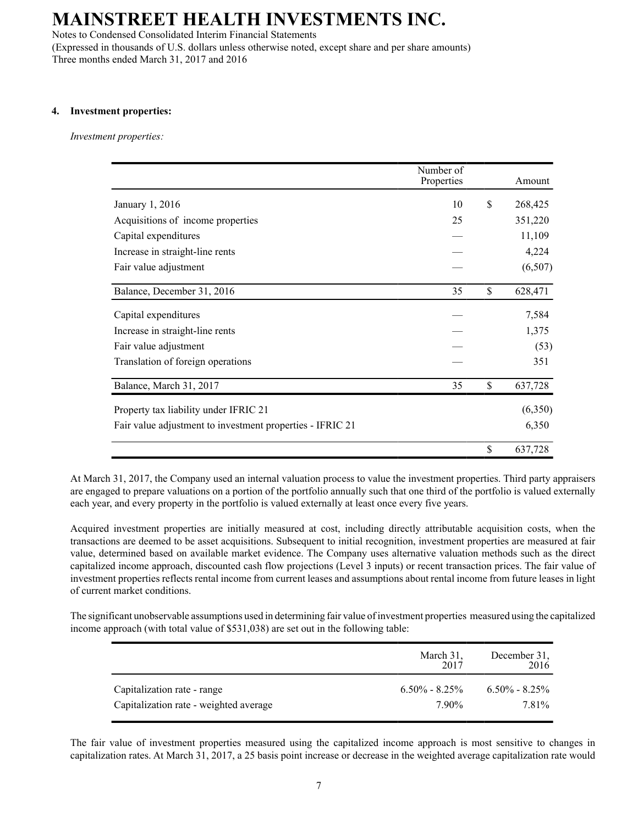Notes to Condensed Consolidated Interim Financial Statements (Expressed in thousands of U.S. dollars unless otherwise noted, except share and per share amounts)

Three months ended March 31, 2017 and 2016

#### **4. Investment properties:**

*Investment properties:*

|                                                           | Number of<br>Properties | Amount        |
|-----------------------------------------------------------|-------------------------|---------------|
| January 1, 2016                                           | 10                      | \$<br>268,425 |
| Acquisitions of income properties                         | 25                      | 351,220       |
| Capital expenditures                                      |                         | 11,109        |
| Increase in straight-line rents                           |                         | 4,224         |
| Fair value adjustment                                     |                         | (6,507)       |
| Balance, December 31, 2016                                | 35                      | \$<br>628,471 |
| Capital expenditures                                      |                         | 7,584         |
| Increase in straight-line rents                           |                         | 1,375         |
| Fair value adjustment                                     |                         | (53)          |
| Translation of foreign operations                         |                         | 351           |
| Balance, March 31, 2017                                   | 35                      | \$<br>637,728 |
| Property tax liability under IFRIC 21                     |                         | (6,350)       |
| Fair value adjustment to investment properties - IFRIC 21 |                         | 6,350         |
|                                                           |                         | \$<br>637,728 |

At March 31, 2017, the Company used an internal valuation process to value the investment properties. Third party appraisers are engaged to prepare valuations on a portion of the portfolio annually such that one third of the portfolio is valued externally each year, and every property in the portfolio is valued externally at least once every five years.

Acquired investment properties are initially measured at cost, including directly attributable acquisition costs, when the transactions are deemed to be asset acquisitions. Subsequent to initial recognition, investment properties are measured at fair value, determined based on available market evidence. The Company uses alternative valuation methods such as the direct capitalized income approach, discounted cash flow projections (Level 3 inputs) or recent transaction prices. The fair value of investment properties reflects rental income from current leases and assumptions about rental income from future leases in light of current market conditions.

The significant unobservable assumptions used in determining fair value of investment properties measured using the capitalized income approach (with total value of \$531,038) are set out in the following table:

|                                        | March 31,<br>2017 | December 31,<br>2016 |
|----------------------------------------|-------------------|----------------------|
| Capitalization rate - range            | $6.50\% - 8.25\%$ | $6.50\% - 8.25\%$    |
| Capitalization rate - weighted average | 790%              | 7.81 <sup>%</sup>    |

The fair value of investment properties measured using the capitalized income approach is most sensitive to changes in capitalization rates. At March 31, 2017, a 25 basis point increase or decrease in the weighted average capitalization rate would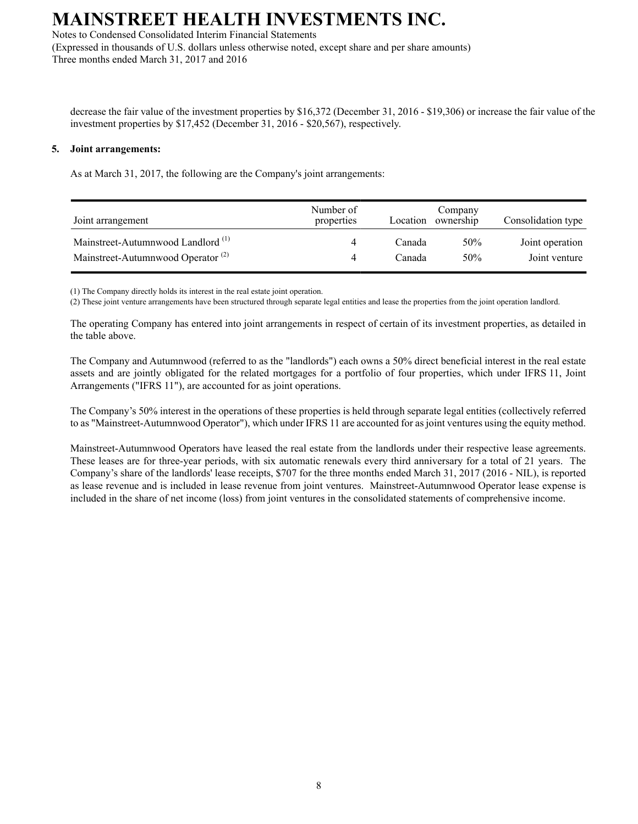Notes to Condensed Consolidated Interim Financial Statements

(Expressed in thousands of U.S. dollars unless otherwise noted, except share and per share amounts) Three months ended March 31, 2017 and 2016

decrease the fair value of the investment properties by \$16,372 (December 31, 2016 - \$19,306) or increase the fair value of the investment properties by \$17,452 (December 31, 2016 - \$20,567), respectively.

#### **5. Joint arrangements:**

As at March 31, 2017, the following are the Company's joint arrangements:

| Joint arrangement                             | Number of<br>properties | Location | Company<br>ownership | Consolidation type |
|-----------------------------------------------|-------------------------|----------|----------------------|--------------------|
| Mainstreet-Autumnwood Landlord <sup>(1)</sup> |                         | Canada   | 50%                  | Joint operation    |
| Mainstreet-Autumnwood Operator <sup>(2)</sup> |                         | Canada   | 50%                  | Joint venture      |

(1) The Company directly holds its interest in the real estate joint operation.

(2) These joint venture arrangements have been structured through separate legal entities and lease the properties from the joint operation landlord.

The operating Company has entered into joint arrangements in respect of certain of its investment properties, as detailed in the table above.

The Company and Autumnwood (referred to as the "landlords") each owns a 50% direct beneficial interest in the real estate assets and are jointly obligated for the related mortgages for a portfolio of four properties, which under IFRS 11, Joint Arrangements ("IFRS 11"), are accounted for as joint operations.

The Company's 50% interest in the operations of these properties is held through separate legal entities (collectively referred to as "Mainstreet-Autumnwood Operator"), which under IFRS 11 are accounted for as joint ventures using the equity method.

Mainstreet-Autumnwood Operators have leased the real estate from the landlords under their respective lease agreements. These leases are for three-year periods, with six automatic renewals every third anniversary for a total of 21 years. The Company's share of the landlords' lease receipts, \$707 for the three months ended March 31, 2017 (2016 - NIL), is reported as lease revenue and is included in lease revenue from joint ventures. Mainstreet-Autumnwood Operator lease expense is included in the share of net income (loss) from joint ventures in the consolidated statements of comprehensive income.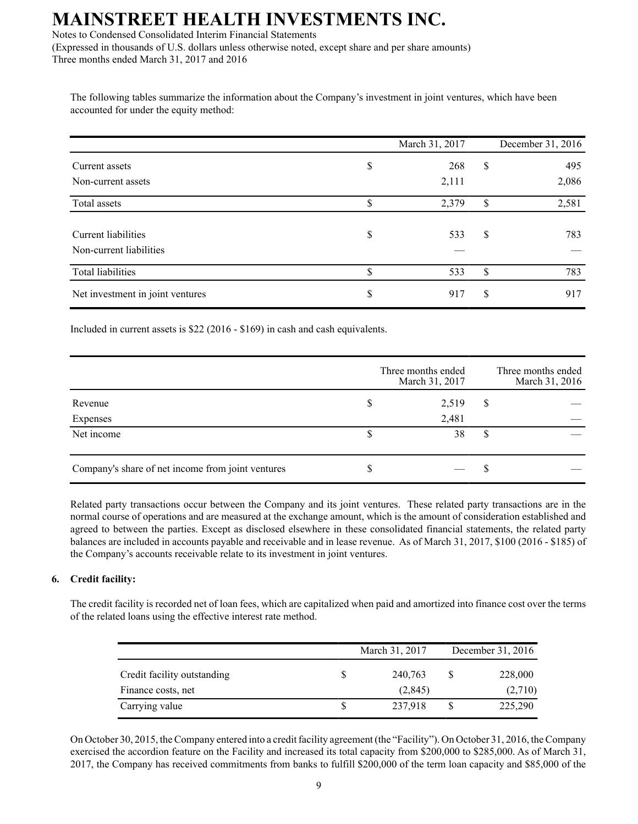Notes to Condensed Consolidated Interim Financial Statements

(Expressed in thousands of U.S. dollars unless otherwise noted, except share and per share amounts) Three months ended March 31, 2017 and 2016

The following tables summarize the information about the Company's investment in joint ventures, which have been accounted for under the equity method:

|                                  | March 31, 2017 |    | December 31, 2016 |
|----------------------------------|----------------|----|-------------------|
| Current assets                   | \$<br>268      | \$ | 495               |
| Non-current assets               | 2,111          |    | 2,086             |
| Total assets                     | \$<br>2,379    | \$ | 2,581             |
|                                  |                |    |                   |
| Current liabilities              | \$<br>533      | \$ | 783               |
| Non-current liabilities          |                |    |                   |
| Total liabilities                | \$<br>533      | \$ | 783               |
| Net investment in joint ventures | \$<br>917      | S  | 917               |

Included in current assets is \$22 (2016 - \$169) in cash and cash equivalents.

|                                                   |   | Three months ended<br>March 31, 2017 |   | Three months ended<br>March 31, 2016 |
|---------------------------------------------------|---|--------------------------------------|---|--------------------------------------|
| Revenue                                           | D | 2,519                                | S |                                      |
| Expenses                                          |   | 2,481                                |   |                                      |
| Net income                                        |   | 38                                   | S |                                      |
|                                                   |   |                                      |   |                                      |
| Company's share of net income from joint ventures | J |                                      | ъ |                                      |

Related party transactions occur between the Company and its joint ventures. These related party transactions are in the normal course of operations and are measured at the exchange amount, which is the amount of consideration established and agreed to between the parties. Except as disclosed elsewhere in these consolidated financial statements, the related party balances are included in accounts payable and receivable and in lease revenue. As of March 31, 2017, \$100 (2016 - \$185) of the Company's accounts receivable relate to its investment in joint ventures.

### **6. Credit facility:**

The credit facility is recorded net of loan fees, which are capitalized when paid and amortized into finance cost over the terms of the related loans using the effective interest rate method.

|                             |   | March 31, 2017 |  | December 31, 2016 |  |
|-----------------------------|---|----------------|--|-------------------|--|
| Credit facility outstanding | S | 240,763        |  | 228,000           |  |
| Finance costs, net          |   | (2,845)        |  | (2,710)           |  |
| Carrying value              |   | 237,918        |  | 225,290           |  |

On October 30, 2015, the Company entered into a credit facility agreement (the "Facility"). On October 31, 2016, the Company exercised the accordion feature on the Facility and increased its total capacity from \$200,000 to \$285,000. As of March 31, 2017, the Company has received commitments from banks to fulfill \$200,000 of the term loan capacity and \$85,000 of the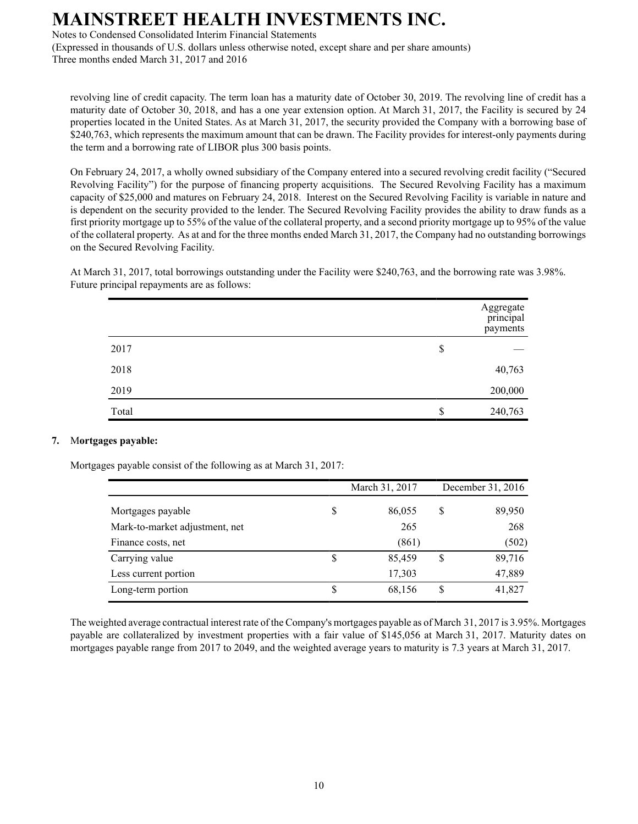Notes to Condensed Consolidated Interim Financial Statements

(Expressed in thousands of U.S. dollars unless otherwise noted, except share and per share amounts) Three months ended March 31, 2017 and 2016

revolving line of credit capacity. The term loan has a maturity date of October 30, 2019. The revolving line of credit has a maturity date of October 30, 2018, and has a one year extension option. At March 31, 2017, the Facility is secured by 24 properties located in the United States. As at March 31, 2017, the security provided the Company with a borrowing base of \$240,763, which represents the maximum amount that can be drawn. The Facility provides for interest-only payments during the term and a borrowing rate of LIBOR plus 300 basis points.

On February 24, 2017, a wholly owned subsidiary of the Company entered into a secured revolving credit facility ("Secured Revolving Facility") for the purpose of financing property acquisitions. The Secured Revolving Facility has a maximum capacity of \$25,000 and matures on February 24, 2018. Interest on the Secured Revolving Facility is variable in nature and is dependent on the security provided to the lender. The Secured Revolving Facility provides the ability to draw funds as a first priority mortgage up to 55% of the value of the collateral property, and a second priority mortgage up to 95% of the value of the collateral property. As at and for the three months ended March 31, 2017, the Company had no outstanding borrowings on the Secured Revolving Facility.

At March 31, 2017, total borrowings outstanding under the Facility were \$240,763, and the borrowing rate was 3.98%. Future principal repayments are as follows:

|       | Aggregate<br>principal<br>payments |
|-------|------------------------------------|
| 2017  | \$                                 |
| 2018  | 40,763                             |
| 2019  | 200,000                            |
| Total | \$<br>240,763                      |

### **7.** M**ortgages payable:**

Mortgages payable consist of the following as at March 31, 2017:

|                                | March 31, 2017 |        | December 31, 2016 |        |
|--------------------------------|----------------|--------|-------------------|--------|
| Mortgages payable              | S              | 86,055 | S                 | 89,950 |
| Mark-to-market adjustment, net |                | 265    |                   | 268    |
| Finance costs, net             |                | (861)  |                   | (502)  |
| Carrying value                 | \$             | 85,459 | S                 | 89,716 |
| Less current portion           |                | 17,303 |                   | 47,889 |
| Long-term portion              | \$             | 68,156 |                   | 41,827 |

The weighted average contractual interest rate of the Company's mortgages payable as of March 31, 2017 is 3.95%. Mortgages payable are collateralized by investment properties with a fair value of \$145,056 at March 31, 2017. Maturity dates on mortgages payable range from 2017 to 2049, and the weighted average years to maturity is 7.3 years at March 31, 2017.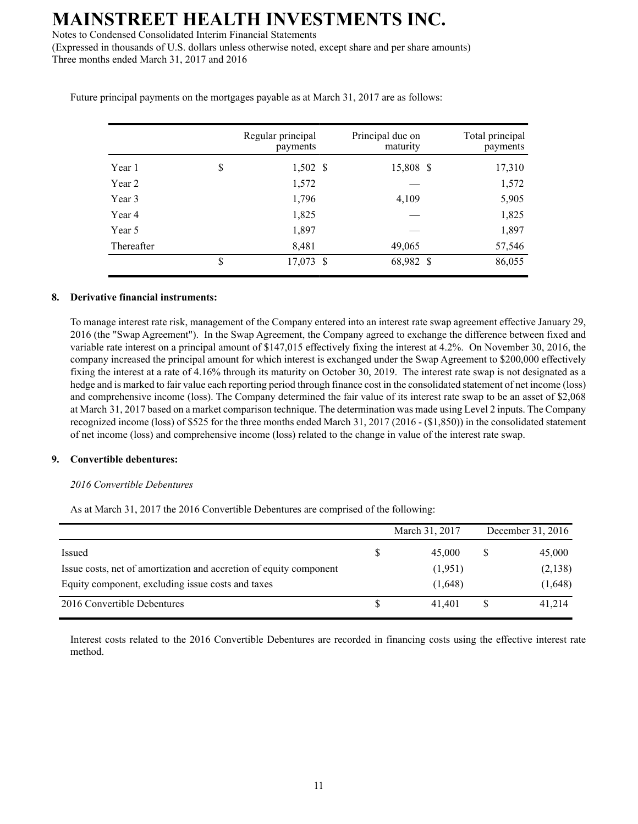Notes to Condensed Consolidated Interim Financial Statements

(Expressed in thousands of U.S. dollars unless otherwise noted, except share and per share amounts) Three months ended March 31, 2017 and 2016

|            | Regular principal<br>payments | Principal due on<br>maturity | Total principal<br>payments |
|------------|-------------------------------|------------------------------|-----------------------------|
| Year 1     | \$<br>$1,502$ \$              | 15,808 \$                    | 17,310                      |
| Year 2     | 1,572                         |                              | 1,572                       |
| Year 3     | 1,796                         | 4,109                        | 5,905                       |
| Year 4     | 1,825                         |                              | 1,825                       |
| Year 5     | 1,897                         |                              | 1,897                       |
| Thereafter | 8,481                         | 49,065                       | 57,546                      |
|            | \$<br>17,073 \$               | 68,982 \$                    | 86,055                      |

Future principal payments on the mortgages payable as at March 31, 2017 are as follows:

#### **8. Derivative financial instruments:**

To manage interest rate risk, management of the Company entered into an interest rate swap agreement effective January 29, 2016 (the "Swap Agreement"). In the Swap Agreement, the Company agreed to exchange the difference between fixed and variable rate interest on a principal amount of \$147,015 effectively fixing the interest at 4.2%. On November 30, 2016, the company increased the principal amount for which interest is exchanged under the Swap Agreement to \$200,000 effectively fixing the interest at a rate of 4.16% through its maturity on October 30, 2019. The interest rate swap is not designated as a hedge and is marked to fair value each reporting period through finance cost in the consolidated statement of net income (loss) and comprehensive income (loss). The Company determined the fair value of its interest rate swap to be an asset of \$2,068 at March 31, 2017 based on a market comparison technique. The determination was made using Level 2 inputs. The Company recognized income (loss) of \$525 for the three months ended March 31, 2017 (2016 - (\$1,850)) in the consolidated statement of net income (loss) and comprehensive income (loss) related to the change in value of the interest rate swap.

#### **9. Convertible debentures:**

#### *2016 Convertible Debentures*

As at March 31, 2017 the 2016 Convertible Debentures are comprised of the following:

|                                                                    |    | March 31, 2017 |   | December 31, 2016 |
|--------------------------------------------------------------------|----|----------------|---|-------------------|
| Issued                                                             | \$ | 45,000         | S | 45,000            |
| Issue costs, net of amortization and accretion of equity component |    | (1,951)        |   | (2,138)           |
| Equity component, excluding issue costs and taxes                  |    | (1,648)        |   | (1,648)           |
| 2016 Convertible Debentures                                        | S  | 41.401         |   | 41,214            |

Interest costs related to the 2016 Convertible Debentures are recorded in financing costs using the effective interest rate method.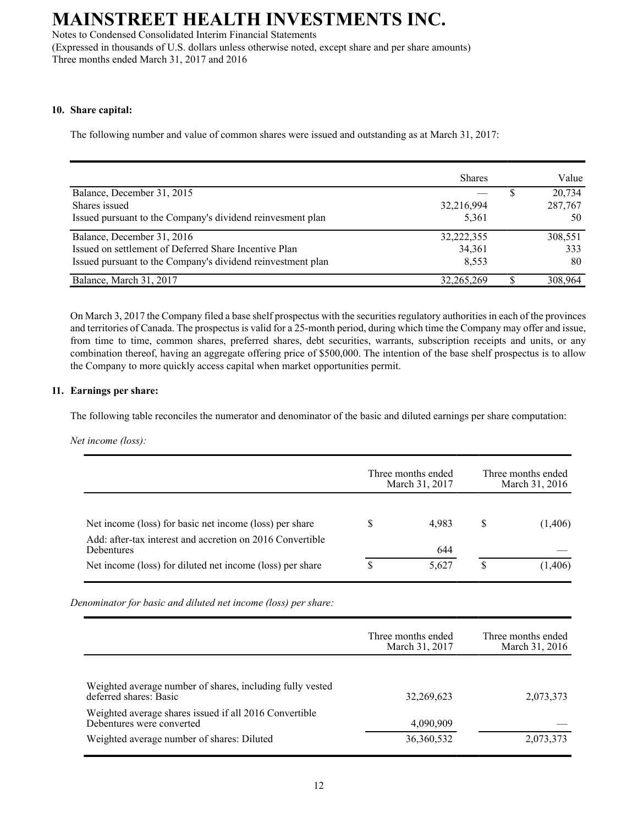Notes to Condensed Consolidated Interim Financial Statements

(Expressed in thousands of U.S. dollars unless otherwise noted, except share and per share amounts) Three months ended March 31, 2017 and 2016

#### **10. Share capital:**

The following number and value of common shares were issued and outstanding as at March 31, 2017:

|                                                             | <b>Shares</b> |   | Value   |
|-------------------------------------------------------------|---------------|---|---------|
| Balance, December 31, 2015                                  |               |   | 20,734  |
| Shares issued                                               | 32,216,994    |   | 287,767 |
| Issued pursuant to the Company's dividend reinvesment plan  | 5,361         |   | 50      |
| Balance, December 31, 2016                                  | 32,222,355    |   | 308,551 |
| Issued on settlement of Deferred Share Incentive Plan       | 34,361        |   | 333     |
| Issued pursuant to the Company's dividend reinvestment plan | 8,553         |   | 80      |
| Balance, March 31, 2017                                     | 32,265,269    | œ | 308,964 |

On March 3, 2017 the Company filed a base shelf prospectus with the securities regulatory authorities in each of the provinces and territories of Canada. The prospectus is valid for a 25-month period, during which time the Company may offer and issue, from time to time, common shares, preferred shares, debt securities, warrants, subscription receipts and units, or any combination thereof, having an aggregate offering price of \$500,000. The intention of the base shelf prospectus is to allow the Company to more quickly access capital when market opportunities permit.

#### **11. Earnings per share:**

The following table reconciles the numerator and denominator of the basic and diluted earnings per share computation:

*Net income (loss):*

|                                                                         |   | Three months ended<br>March 31, 2017 |   | Three months ended<br>March 31, 2016 |
|-------------------------------------------------------------------------|---|--------------------------------------|---|--------------------------------------|
| Net income (loss) for basic net income (loss) per share                 |   | 4.983                                | S | (1,406)                              |
| Add: after-tax interest and accretion on 2016 Convertible<br>Debentures |   | 644                                  |   |                                      |
| Net income (loss) for diluted net income (loss) per share               | S | 5.627                                | S | (1,406)                              |

*Denominator for basic and diluted net income (loss) per share:*

|                                                                                     | Three months ended<br>March 31, 2017 | Three months ended<br>March 31, 2016 |
|-------------------------------------------------------------------------------------|--------------------------------------|--------------------------------------|
|                                                                                     |                                      |                                      |
| Weighted average number of shares, including fully vested<br>deferred shares: Basic | 32,269,623                           | 2,073,373                            |
| Weighted average shares issued if all 2016 Convertible<br>Debentures were converted | 4,090,909                            |                                      |
| Weighted average number of shares: Diluted                                          | 36,360,532                           | 2,073,373                            |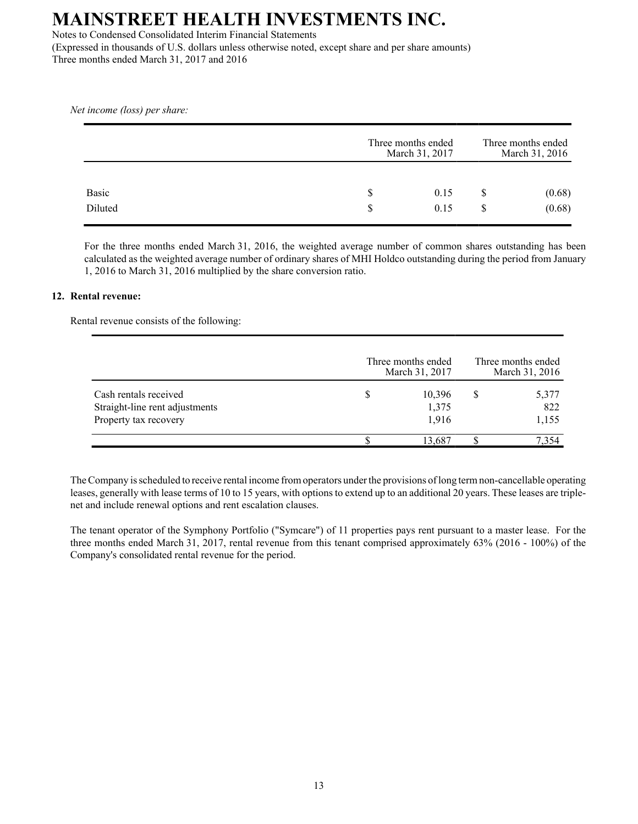Notes to Condensed Consolidated Interim Financial Statements (Expressed in thousands of U.S. dollars unless otherwise noted, except share and per share amounts) Three months ended March 31, 2017 and 2016

*Net income (loss) per share:*

|              |   | Three months ended<br>March 31, 2017 |   | Three months ended<br>March 31, 2016 |  |  |
|--------------|---|--------------------------------------|---|--------------------------------------|--|--|
| <b>Basic</b> | S | 0.15                                 | S | (0.68)                               |  |  |
| Diluted      | S | 0.15                                 | S | (0.68)                               |  |  |

For the three months ended March 31, 2016, the weighted average number of common shares outstanding has been calculated as the weighted average number of ordinary shares of MHI Holdco outstanding during the period from January 1, 2016 to March 31, 2016 multiplied by the share conversion ratio.

#### **12. Rental revenue:**

Rental revenue consists of the following:

|                                                                                  | Three months ended<br>March 31, 2017 |                          | Three months ended<br>March 31, 2016 |                       |  |
|----------------------------------------------------------------------------------|--------------------------------------|--------------------------|--------------------------------------|-----------------------|--|
| Cash rentals received<br>Straight-line rent adjustments<br>Property tax recovery |                                      | 10,396<br>1,375<br>1,916 |                                      | 5,377<br>822<br>1,155 |  |
|                                                                                  |                                      | 13,687                   |                                      | 7.354                 |  |

The Company is scheduled to receive rental income from operators under the provisions of long term non-cancellable operating leases, generally with lease terms of 10 to 15 years, with options to extend up to an additional 20 years. These leases are triplenet and include renewal options and rent escalation clauses.

The tenant operator of the Symphony Portfolio ("Symcare") of 11 properties pays rent pursuant to a master lease. For the three months ended March 31, 2017, rental revenue from this tenant comprised approximately 63% (2016 - 100%) of the Company's consolidated rental revenue for the period.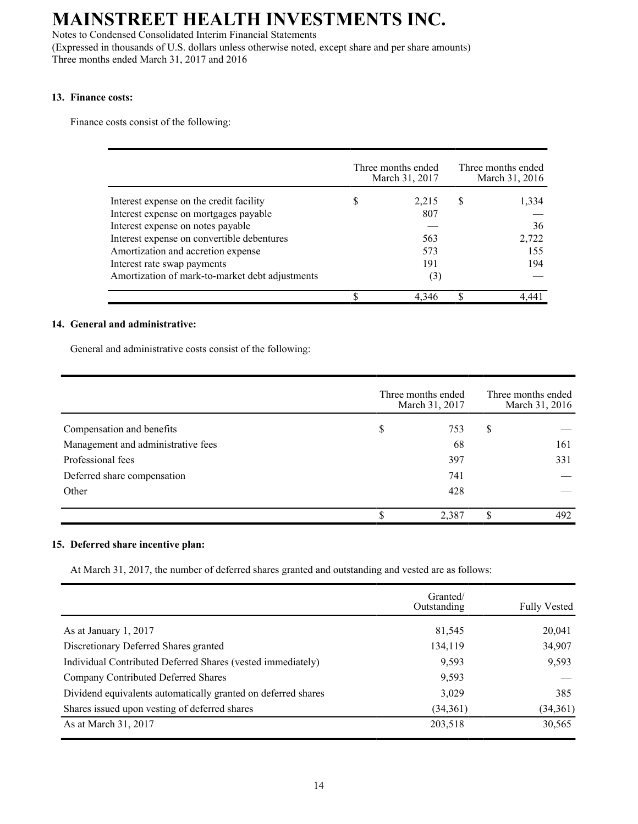Notes to Condensed Consolidated Interim Financial Statements

(Expressed in thousands of U.S. dollars unless otherwise noted, except share and per share amounts) Three months ended March 31, 2017 and 2016

#### **13. Finance costs:**

Finance costs consist of the following:

|                                                 |   | Three months ended<br>March 31, 2017 |   | Three months ended<br>March 31, 2016 |
|-------------------------------------------------|---|--------------------------------------|---|--------------------------------------|
| Interest expense on the credit facility         | S | 2,215                                | S | 1,334                                |
| Interest expense on mortgages payable           |   | 807                                  |   |                                      |
| Interest expense on notes payable               |   |                                      |   | 36                                   |
| Interest expense on convertible debentures      |   | 563                                  |   | 2,722                                |
| Amortization and accretion expense              |   | 573                                  |   | 155                                  |
| Interest rate swap payments                     |   | 191                                  |   | 194                                  |
| Amortization of mark-to-market debt adjustments |   | (3)                                  |   |                                      |
|                                                 |   | 4.346                                | Φ |                                      |

#### **14. General and administrative:**

General and administrative costs consist of the following:

|                                    | Three months ended<br>March 31, 2017 |       |    | Three months ended<br>March 31, 2016 |  |  |
|------------------------------------|--------------------------------------|-------|----|--------------------------------------|--|--|
| Compensation and benefits          | \$                                   | 753   | \$ |                                      |  |  |
| Management and administrative fees |                                      | 68    |    | 161                                  |  |  |
| Professional fees                  |                                      | 397   |    | 331                                  |  |  |
| Deferred share compensation        |                                      | 741   |    |                                      |  |  |
| Other                              |                                      | 428   |    |                                      |  |  |
|                                    |                                      | 2,387 |    | 492                                  |  |  |

#### **15. Deferred share incentive plan:**

At March 31, 2017, the number of deferred shares granted and outstanding and vested are as follows:

|                                                               | Granted/<br>Outstanding | <b>Fully Vested</b> |
|---------------------------------------------------------------|-------------------------|---------------------|
| As at January 1, 2017                                         | 81,545                  | 20,041              |
| Discretionary Deferred Shares granted                         | 134,119                 | 34,907              |
| Individual Contributed Deferred Shares (vested immediately)   | 9.593                   | 9,593               |
| Company Contributed Deferred Shares                           | 9,593                   |                     |
| Dividend equivalents automatically granted on deferred shares | 3,029                   | 385                 |
| Shares issued upon vesting of deferred shares                 | (34,361)                | (34,361)            |
| As at March 31, 2017                                          | 203,518                 | 30,565              |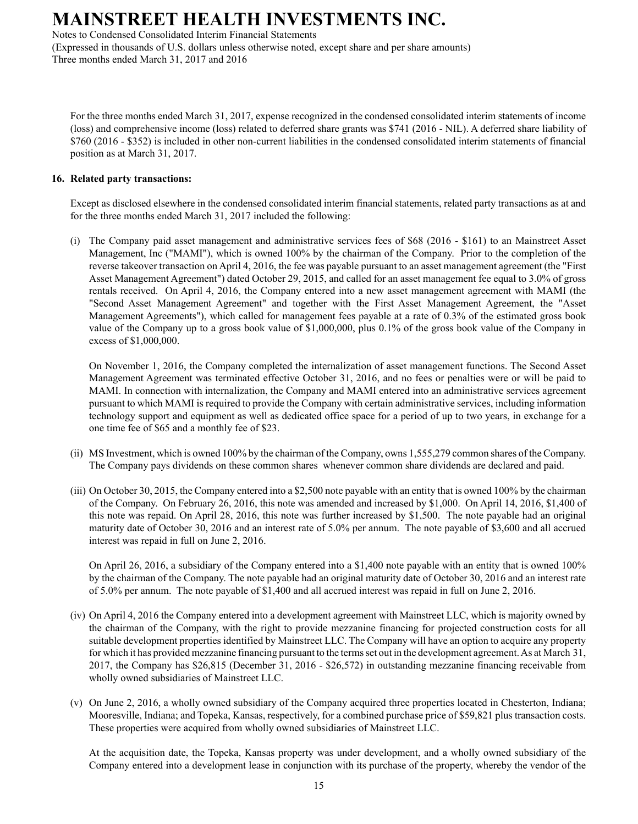Notes to Condensed Consolidated Interim Financial Statements

(Expressed in thousands of U.S. dollars unless otherwise noted, except share and per share amounts) Three months ended March 31, 2017 and 2016

For the three months ended March 31, 2017, expense recognized in the condensed consolidated interim statements of income (loss) and comprehensive income (loss) related to deferred share grants was \$741 (2016 - NIL). A deferred share liability of \$760 (2016 - \$352) is included in other non-current liabilities in the condensed consolidated interim statements of financial position as at March 31, 2017.

#### **16. Related party transactions:**

Except as disclosed elsewhere in the condensed consolidated interim financial statements, related party transactions as at and for the three months ended March 31, 2017 included the following:

(i) The Company paid asset management and administrative services fees of \$68 (2016 - \$161) to an Mainstreet Asset Management, Inc ("MAMI"), which is owned 100% by the chairman of the Company. Prior to the completion of the reverse takeover transaction on April 4, 2016, the fee was payable pursuant to an asset management agreement (the "First Asset Management Agreement") dated October 29, 2015, and called for an asset management fee equal to 3.0% of gross rentals received. On April 4, 2016, the Company entered into a new asset management agreement with MAMI (the "Second Asset Management Agreement" and together with the First Asset Management Agreement, the "Asset Management Agreements"), which called for management fees payable at a rate of 0.3% of the estimated gross book value of the Company up to a gross book value of \$1,000,000, plus 0.1% of the gross book value of the Company in excess of \$1,000,000.

On November 1, 2016, the Company completed the internalization of asset management functions. The Second Asset Management Agreement was terminated effective October 31, 2016, and no fees or penalties were or will be paid to MAMI. In connection with internalization, the Company and MAMI entered into an administrative services agreement pursuant to which MAMI is required to provide the Company with certain administrative services, including information technology support and equipment as well as dedicated office space for a period of up to two years, in exchange for a one time fee of \$65 and a monthly fee of \$23.

- (ii) MS Investment, which is owned 100% by the chairman of the Company, owns 1,555,279 common shares of the Company. The Company pays dividends on these common shares whenever common share dividends are declared and paid.
- (iii) On October 30, 2015, the Company entered into a \$2,500 note payable with an entity that is owned 100% by the chairman of the Company. On February 26, 2016, this note was amended and increased by \$1,000. On April 14, 2016, \$1,400 of this note was repaid. On April 28, 2016, this note was further increased by \$1,500. The note payable had an original maturity date of October 30, 2016 and an interest rate of 5.0% per annum. The note payable of \$3,600 and all accrued interest was repaid in full on June 2, 2016.

On April 26, 2016, a subsidiary of the Company entered into a \$1,400 note payable with an entity that is owned 100% by the chairman of the Company. The note payable had an original maturity date of October 30, 2016 and an interest rate of 5.0% per annum. The note payable of \$1,400 and all accrued interest was repaid in full on June 2, 2016.

- (iv) On April 4, 2016 the Company entered into a development agreement with Mainstreet LLC, which is majority owned by the chairman of the Company, with the right to provide mezzanine financing for projected construction costs for all suitable development properties identified by Mainstreet LLC. The Company will have an option to acquire any property for which it has provided mezzanine financing pursuant to the terms set out in the development agreement. As at March 31, 2017, the Company has \$26,815 (December 31, 2016 - \$26,572) in outstanding mezzanine financing receivable from wholly owned subsidiaries of Mainstreet LLC.
- (v) On June 2, 2016, a wholly owned subsidiary of the Company acquired three properties located in Chesterton, Indiana; Mooresville, Indiana; and Topeka, Kansas, respectively, for a combined purchase price of \$59,821 plus transaction costs. These properties were acquired from wholly owned subsidiaries of Mainstreet LLC.

At the acquisition date, the Topeka, Kansas property was under development, and a wholly owned subsidiary of the Company entered into a development lease in conjunction with its purchase of the property, whereby the vendor of the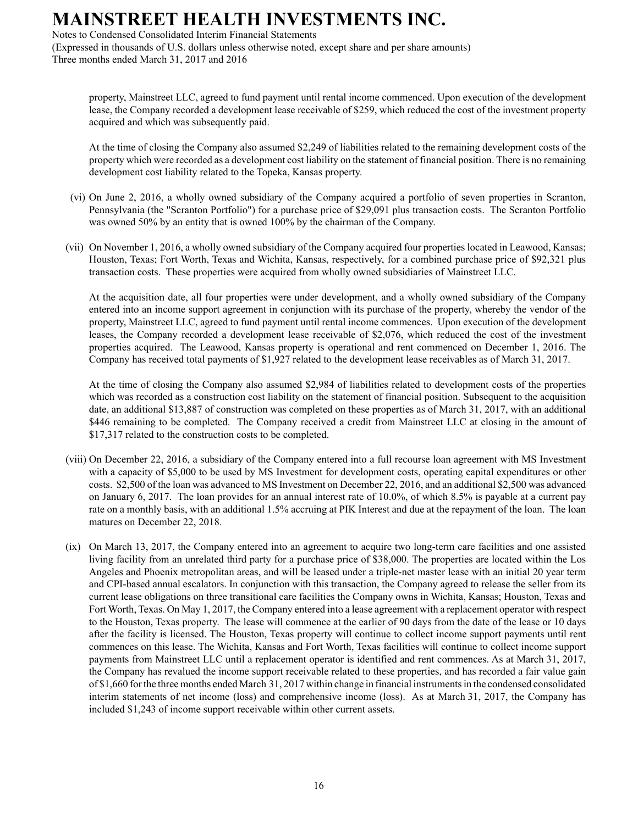Notes to Condensed Consolidated Interim Financial Statements

(Expressed in thousands of U.S. dollars unless otherwise noted, except share and per share amounts) Three months ended March 31, 2017 and 2016

property, Mainstreet LLC, agreed to fund payment until rental income commenced. Upon execution of the development lease, the Company recorded a development lease receivable of \$259, which reduced the cost of the investment property acquired and which was subsequently paid.

At the time of closing the Company also assumed \$2,249 of liabilities related to the remaining development costs of the property which were recorded as a development cost liability on the statement of financial position. There is no remaining development cost liability related to the Topeka, Kansas property.

- (vi) On June 2, 2016, a wholly owned subsidiary of the Company acquired a portfolio of seven properties in Scranton, Pennsylvania (the "Scranton Portfolio") for a purchase price of \$29,091 plus transaction costs. The Scranton Portfolio was owned 50% by an entity that is owned 100% by the chairman of the Company.
- (vii) On November 1, 2016, a wholly owned subsidiary of the Company acquired four properties located in Leawood, Kansas; Houston, Texas; Fort Worth, Texas and Wichita, Kansas, respectively, for a combined purchase price of \$92,321 plus transaction costs. These properties were acquired from wholly owned subsidiaries of Mainstreet LLC.

At the acquisition date, all four properties were under development, and a wholly owned subsidiary of the Company entered into an income support agreement in conjunction with its purchase of the property, whereby the vendor of the property, Mainstreet LLC, agreed to fund payment until rental income commences. Upon execution of the development leases, the Company recorded a development lease receivable of \$2,076, which reduced the cost of the investment properties acquired. The Leawood, Kansas property is operational and rent commenced on December 1, 2016. The Company has received total payments of \$1,927 related to the development lease receivables as of March 31, 2017.

At the time of closing the Company also assumed \$2,984 of liabilities related to development costs of the properties which was recorded as a construction cost liability on the statement of financial position. Subsequent to the acquisition date, an additional \$13,887 of construction was completed on these properties as of March 31, 2017, with an additional \$446 remaining to be completed. The Company received a credit from Mainstreet LLC at closing in the amount of \$17,317 related to the construction costs to be completed.

- (viii) On December 22, 2016, a subsidiary of the Company entered into a full recourse loan agreement with MS Investment with a capacity of \$5,000 to be used by MS Investment for development costs, operating capital expenditures or other costs. \$2,500 of the loan was advanced to MS Investment on December 22, 2016, and an additional \$2,500 was advanced on January 6, 2017. The loan provides for an annual interest rate of 10.0%, of which 8.5% is payable at a current pay rate on a monthly basis, with an additional 1.5% accruing at PIK Interest and due at the repayment of the loan. The loan matures on December 22, 2018.
- (ix) On March 13, 2017, the Company entered into an agreement to acquire two long-term care facilities and one assisted living facility from an unrelated third party for a purchase price of \$38,000. The properties are located within the Los Angeles and Phoenix metropolitan areas, and will be leased under a triple-net master lease with an initial 20 year term and CPI-based annual escalators. In conjunction with this transaction, the Company agreed to release the seller from its current lease obligations on three transitional care facilities the Company owns in Wichita, Kansas; Houston, Texas and Fort Worth, Texas. On May 1, 2017, the Company entered into a lease agreement with a replacement operator with respect to the Houston, Texas property. The lease will commence at the earlier of 90 days from the date of the lease or 10 days after the facility is licensed. The Houston, Texas property will continue to collect income support payments until rent commences on this lease. The Wichita, Kansas and Fort Worth, Texas facilities will continue to collect income support payments from Mainstreet LLC until a replacement operator is identified and rent commences. As at March 31, 2017, the Company has revalued the income support receivable related to these properties, and has recorded a fair value gain of \$1,660 for the three months ended March 31, 2017 within change in financial instruments in the condensed consolidated interim statements of net income (loss) and comprehensive income (loss). As at March 31, 2017, the Company has included \$1,243 of income support receivable within other current assets.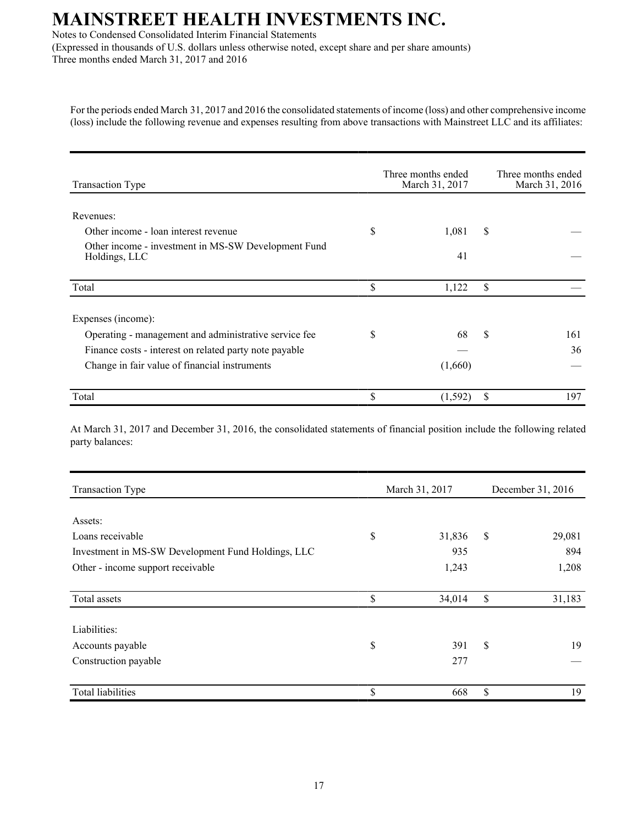Notes to Condensed Consolidated Interim Financial Statements

(Expressed in thousands of U.S. dollars unless otherwise noted, except share and per share amounts) Three months ended March 31, 2017 and 2016

For the periods ended March 31, 2017 and 2016 the consolidated statements of income (loss) and other comprehensive income (loss) include the following revenue and expenses resulting from above transactions with Mainstreet LLC and its affiliates:

| <b>Transaction Type</b>                                              | Three months ended<br>March 31, 2017 | Three months ended<br>March 31, 2016 |  |
|----------------------------------------------------------------------|--------------------------------------|--------------------------------------|--|
| Revenues:                                                            |                                      |                                      |  |
| Other income - loan interest revenue                                 | \$<br>1,081                          | \$                                   |  |
| Other income - investment in MS-SW Development Fund<br>Holdings, LLC | 41                                   |                                      |  |
| Total                                                                | \$<br>1,122                          | \$                                   |  |
| Expenses (income):                                                   |                                      |                                      |  |
| Operating - management and administrative service fee                | \$<br>68                             | \$<br>161                            |  |
| Finance costs - interest on related party note payable               |                                      | 36                                   |  |
| Change in fair value of financial instruments                        | (1,660)                              |                                      |  |
| Total                                                                | \$<br>(1, 592)                       | \$<br>197                            |  |

At March 31, 2017 and December 31, 2016, the consolidated statements of financial position include the following related party balances:

| <b>Transaction Type</b>                            |    | March 31, 2017 | December 31, 2016 |        |  |
|----------------------------------------------------|----|----------------|-------------------|--------|--|
|                                                    |    |                |                   |        |  |
| Assets:                                            |    |                |                   |        |  |
| Loans receivable                                   | \$ | 31,836         | \$                | 29,081 |  |
| Investment in MS-SW Development Fund Holdings, LLC |    | 935            |                   | 894    |  |
| Other - income support receivable                  |    | 1,243          |                   | 1,208  |  |
| Total assets                                       | \$ | 34,014         | \$                | 31,183 |  |
| Liabilities:                                       |    |                |                   |        |  |
| Accounts payable                                   | \$ | 391            | \$                | 19     |  |
| Construction payable                               |    | 277            |                   |        |  |
| <b>Total liabilities</b>                           | \$ | 668            | \$                | 19     |  |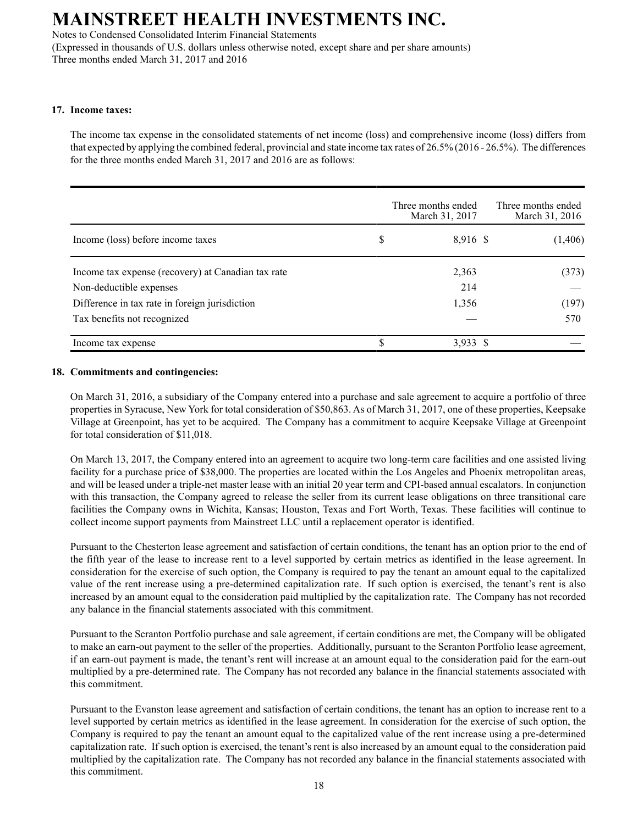Notes to Condensed Consolidated Interim Financial Statements

(Expressed in thousands of U.S. dollars unless otherwise noted, except share and per share amounts) Three months ended March 31, 2017 and 2016

#### **17. Income taxes:**

The income tax expense in the consolidated statements of net income (loss) and comprehensive income (loss) differs from that expected by applying the combined federal, provincial and state income tax rates of 26.5% (2016 - 26.5%). The differences for the three months ended March 31, 2017 and 2016 are as follows:

|                                                    | Three months ended<br>March 31, 2017 | Three months ended<br>March 31, 2016 |
|----------------------------------------------------|--------------------------------------|--------------------------------------|
| Income (loss) before income taxes                  | \$<br>8,916 \$                       | (1,406)                              |
| Income tax expense (recovery) at Canadian tax rate | 2,363                                | (373)                                |
| Non-deductible expenses                            | 214                                  |                                      |
| Difference in tax rate in foreign jurisdiction     | 1,356                                | (197)                                |
| Tax benefits not recognized                        |                                      | 570                                  |
| Income tax expense                                 | $3,933$ \$                           |                                      |

#### **18. Commitments and contingencies:**

On March 31, 2016, a subsidiary of the Company entered into a purchase and sale agreement to acquire a portfolio of three properties in Syracuse, New York for total consideration of \$50,863. As of March 31, 2017, one of these properties, Keepsake Village at Greenpoint, has yet to be acquired. The Company has a commitment to acquire Keepsake Village at Greenpoint for total consideration of \$11,018.

On March 13, 2017, the Company entered into an agreement to acquire two long-term care facilities and one assisted living facility for a purchase price of \$38,000. The properties are located within the Los Angeles and Phoenix metropolitan areas, and will be leased under a triple-net master lease with an initial 20 year term and CPI-based annual escalators. In conjunction with this transaction, the Company agreed to release the seller from its current lease obligations on three transitional care facilities the Company owns in Wichita, Kansas; Houston, Texas and Fort Worth, Texas. These facilities will continue to collect income support payments from Mainstreet LLC until a replacement operator is identified.

Pursuant to the Chesterton lease agreement and satisfaction of certain conditions, the tenant has an option prior to the end of the fifth year of the lease to increase rent to a level supported by certain metrics as identified in the lease agreement. In consideration for the exercise of such option, the Company is required to pay the tenant an amount equal to the capitalized value of the rent increase using a pre-determined capitalization rate. If such option is exercised, the tenant's rent is also increased by an amount equal to the consideration paid multiplied by the capitalization rate. The Company has not recorded any balance in the financial statements associated with this commitment.

Pursuant to the Scranton Portfolio purchase and sale agreement, if certain conditions are met, the Company will be obligated to make an earn-out payment to the seller of the properties. Additionally, pursuant to the Scranton Portfolio lease agreement, if an earn-out payment is made, the tenant's rent will increase at an amount equal to the consideration paid for the earn-out multiplied by a pre-determined rate. The Company has not recorded any balance in the financial statements associated with this commitment.

Pursuant to the Evanston lease agreement and satisfaction of certain conditions, the tenant has an option to increase rent to a level supported by certain metrics as identified in the lease agreement. In consideration for the exercise of such option, the Company is required to pay the tenant an amount equal to the capitalized value of the rent increase using a pre-determined capitalization rate. If such option is exercised, the tenant's rent is also increased by an amount equal to the consideration paid multiplied by the capitalization rate. The Company has not recorded any balance in the financial statements associated with this commitment.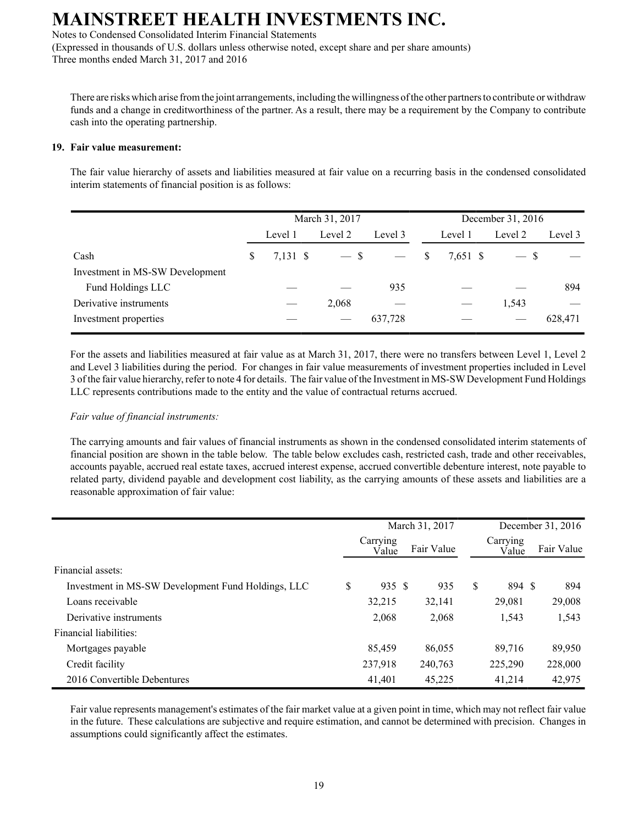Notes to Condensed Consolidated Interim Financial Statements

(Expressed in thousands of U.S. dollars unless otherwise noted, except share and per share amounts) Three months ended March 31, 2017 and 2016

There are risks which arise from the joint arrangements, including the willingness of the other partners to contribute or withdraw funds and a change in creditworthiness of the partner. As a result, there may be a requirement by the Company to contribute cash into the operating partnership.

#### **19. Fair value measurement:**

The fair value hierarchy of assets and liabilities measured at fair value on a recurring basis in the condensed consolidated interim statements of financial position is as follows:

|                                 | March 31, 2017 |          |         |         | December 31, 2016 |          |         |         |  |
|---------------------------------|----------------|----------|---------|---------|-------------------|----------|---------|---------|--|
|                                 |                | Level 1  | Level 2 | Level 3 |                   | Level 1  | Level 2 | Level 3 |  |
| Cash                            | S              | 7,131 \$ | $-$ \$  |         | <sup>S</sup>      | 7,651 \$ | $-$ \$  |         |  |
| Investment in MS-SW Development |                |          |         |         |                   |          |         |         |  |
| Fund Holdings LLC               |                |          |         | 935     |                   |          |         | 894     |  |
| Derivative instruments          |                |          | 2,068   |         |                   |          | 1,543   |         |  |
| Investment properties           |                |          |         | 637,728 |                   |          |         | 628,471 |  |

For the assets and liabilities measured at fair value as at March 31, 2017, there were no transfers between Level 1, Level 2 and Level 3 liabilities during the period. For changes in fair value measurements of investment properties included in Level 3 of the fair value hierarchy, refer to note 4 for details. The fair value of the Investment in MS-SWDevelopment Fund Holdings LLC represents contributions made to the entity and the value of contractual returns accrued.

#### *Fair value of financial instruments:*

The carrying amounts and fair values of financial instruments as shown in the condensed consolidated interim statements of financial position are shown in the table below. The table below excludes cash, restricted cash, trade and other receivables, accounts payable, accrued real estate taxes, accrued interest expense, accrued convertible debenture interest, note payable to related party, dividend payable and development cost liability, as the carrying amounts of these assets and liabilities are a reasonable approximation of fair value:

|                                                    | March 31, 2017 |                   |  | December 31, 2016 |   |                   |            |
|----------------------------------------------------|----------------|-------------------|--|-------------------|---|-------------------|------------|
|                                                    |                | Carrying<br>Value |  | Fair Value        |   | Carrying<br>Value | Fair Value |
| Financial assets:                                  |                |                   |  |                   |   |                   |            |
| Investment in MS-SW Development Fund Holdings, LLC | \$             | 935 \$            |  | 935               | S | 894 \$            | 894        |
| Loans receivable                                   |                | 32,215            |  | 32,141            |   | 29,081            | 29,008     |
| Derivative instruments                             |                | 2,068             |  | 2,068             |   | 1,543             | 1,543      |
| Financial liabilities:                             |                |                   |  |                   |   |                   |            |
| Mortgages payable                                  |                | 85,459            |  | 86,055            |   | 89,716            | 89,950     |
| Credit facility                                    |                | 237,918           |  | 240,763           |   | 225,290           | 228,000    |
| 2016 Convertible Debentures                        |                | 41,401            |  | 45,225            |   | 41,214            | 42,975     |

Fair value represents management's estimates of the fair market value at a given point in time, which may not reflect fair value in the future. These calculations are subjective and require estimation, and cannot be determined with precision. Changes in assumptions could significantly affect the estimates.